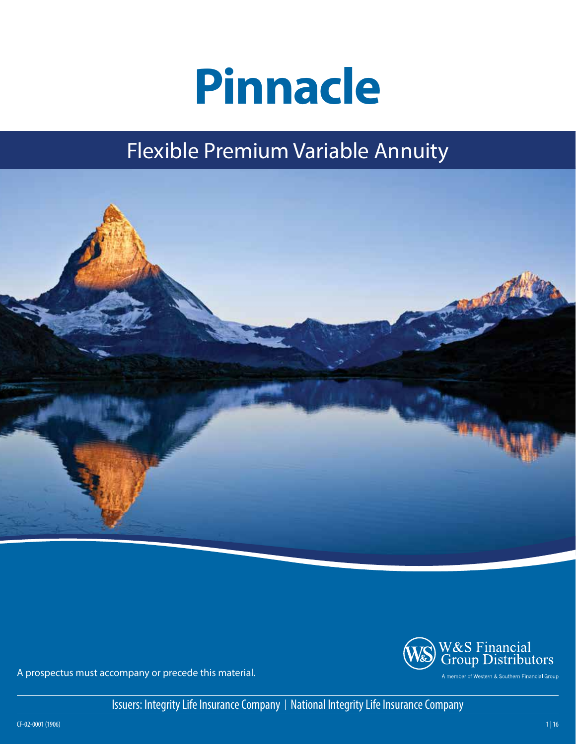# **Pinnacle**

## Flexible Premium Variable Annuity





A prospectus must accompany or precede this material.

Issuers: Integrity Life Insurance Company | National Integrity Life Insurance Company

CF-02-0001 (1906)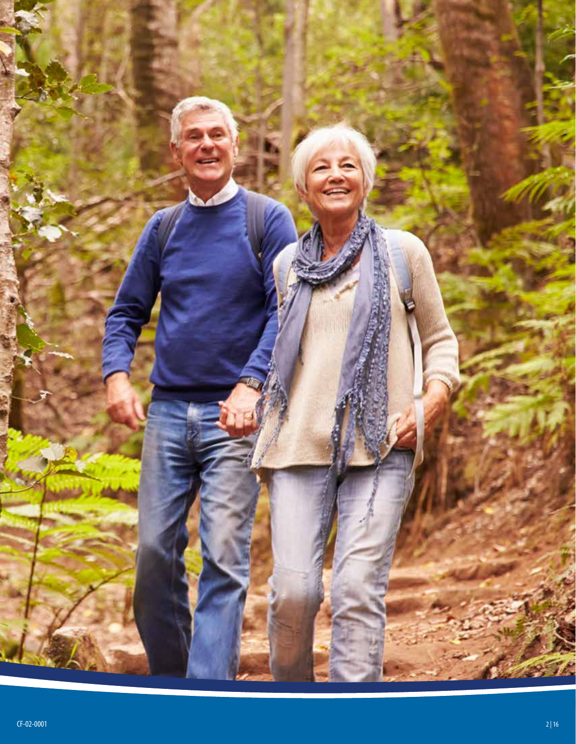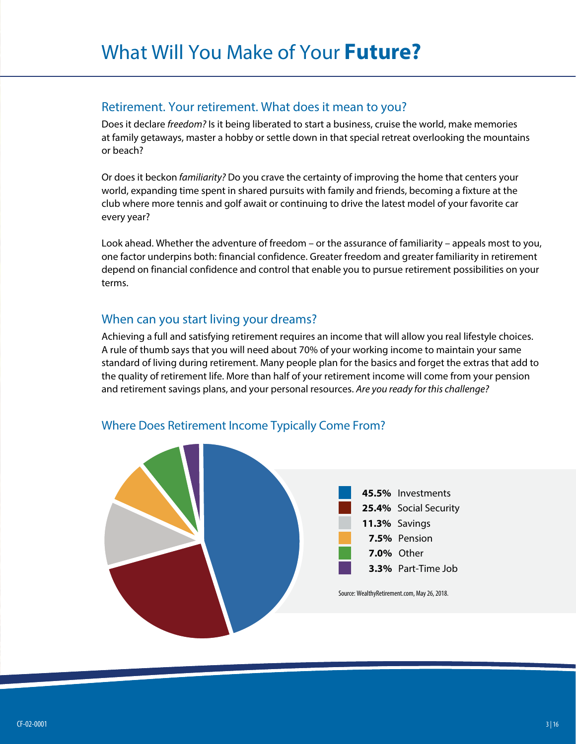#### Retirement. Your retirement. What does it mean to you?

Does it declare *freedom?* Is it being liberated to start a business, cruise the world, make memories at family getaways, master a hobby or settle down in that special retreat overlooking the mountains or beach?

Or does it beckon *familiarity?* Do you crave the certainty of improving the home that centers your world, expanding time spent in shared pursuits with family and friends, becoming a fixture at the club where more tennis and golf await or continuing to drive the latest model of your favorite car every year?

Look ahead. Whether the adventure of freedom – or the assurance of familiarity – appeals most to you, one factor underpins both: financial confidence. Greater freedom and greater familiarity in retirement depend on financial confidence and control that enable you to pursue retirement possibilities on your terms.

#### When can you start living your dreams?

Achieving a full and satisfying retirement requires an income that will allow you real lifestyle choices. A rule of thumb says that you will need about 70% of your working income to maintain your same standard of living during retirement. Many people plan for the basics and forget the extras that add to the quality of retirement life. More than half of your retirement income will come from your pension and retirement savings plans, and your personal resources. *Are you ready for this challenge?*



#### Where Does Retirement Income Typically Come From?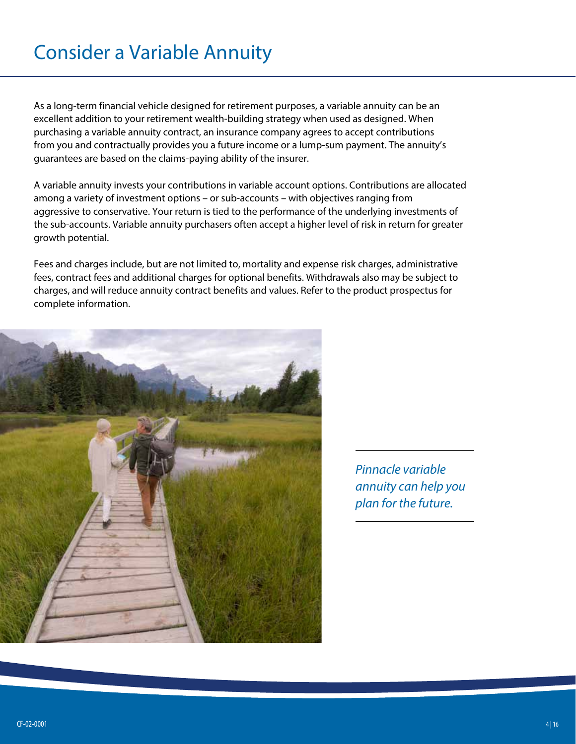## Consider a Variable Annuity

As a long-term financial vehicle designed for retirement purposes, a variable annuity can be an excellent addition to your retirement wealth-building strategy when used as designed. When purchasing a variable annuity contract, an insurance company agrees to accept contributions from you and contractually provides you a future income or a lump-sum payment. The annuity's guarantees are based on the claims-paying ability of the insurer.

A variable annuity invests your contributions in variable account options. Contributions are allocated among a variety of investment options – or sub-accounts – with objectives ranging from aggressive to conservative. Your return is tied to the performance of the underlying investments of the sub-accounts. Variable annuity purchasers often accept a higher level of risk in return for greater growth potential.

Fees and charges include, but are not limited to, mortality and expense risk charges, administrative fees, contract fees and additional charges for optional benefits. Withdrawals also may be subject to charges, and will reduce annuity contract benefits and values. Refer to the product prospectus for complete information.



*Pinnacle variable annuity can help you plan for the future.*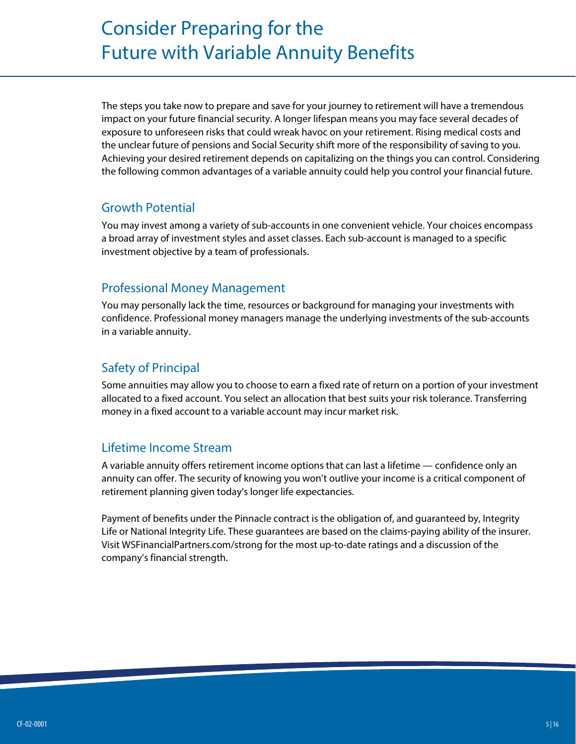## Consider Preparing for the Future with Variable Annuity Benefits

The steps you take now to prepare and save for your journey to retirement will have a tremendous impact on your future financial security. A longer lifespan means you may face several decades of exposure to unforeseen risks that could wreak havoc on your retirement. Rising medical costs and the unclear future of pensions and Social Security shift more of the responsibility of saving to you. Achieving your desired retirement depends on capitalizing on the things you can control. Considering the following common advantages of a variable annuity could help you control your financial future.

#### Growth Potential

You may invest among a variety of sub-accounts in one convenient vehicle. Your choices encompass a broad array of investment styles and asset classes. Each sub-account is managed to a specific investment objective by a team of professionals.

#### Professional Money Management

You may personally lack the time, resources or background for managing your investments with confidence. Professional money managers manage the underlying investments of the sub-accounts in a variable annuity.

#### Safety of Principal

Some annuities may allow you to choose to earn a fixed rate of return on a portion of your investment allocated to a fixed account. You select an allocation that best suits your risk tolerance. Transferring money in a fixed account to a variable account may incur market risk.

#### Lifetime Income Stream

A variable annuity offers retirement income options that can last a lifetime — confidence only an annuity can offer. The security of knowing you won't outlive your income is a critical component of retirement planning given today's longer life expectancies.

Payment of benefits under the Pinnacle contract is the obligation of, and guaranteed by, Integrity Life or National Integrity Life. These guarantees are based on the claims-paying ability of the insurer. Visit WSFinancialPartners.com/strong for the most up-to-date ratings and a discussion of the company's financial strength.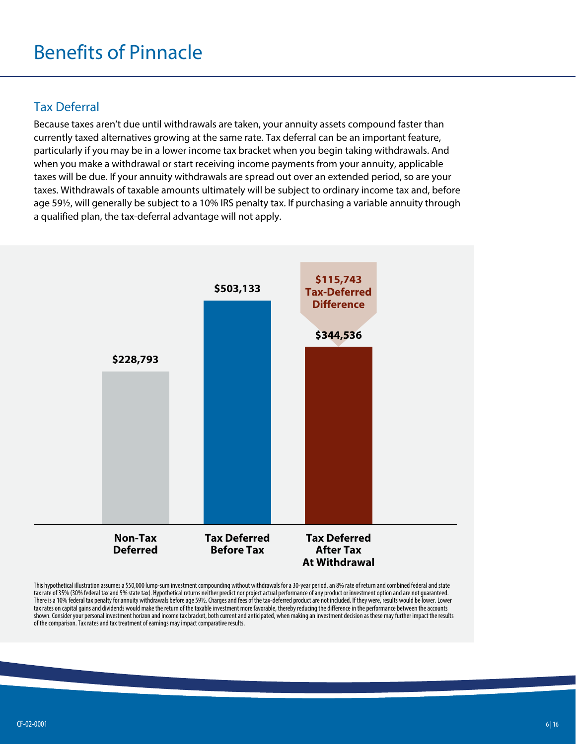## Benefits of Pinnacle

#### Tax Deferral

Because taxes aren't due until withdrawals are taken, your annuity assets compound faster than currently taxed alternatives growing at the same rate. Tax deferral can be an important feature, particularly if you may be in a lower income tax bracket when you begin taking withdrawals. And when you make a withdrawal or start receiving income payments from your annuity, applicable taxes will be due. If your annuity withdrawals are spread out over an extended period, so are your taxes. Withdrawals of taxable amounts ultimately will be subject to ordinary income tax and, before age 59½, will generally be subject to a 10% IRS penalty tax. If purchasing a variable annuity through a qualified plan, the tax-deferral advantage will not apply.



This hypothetical illustration assumes a \$50,000 lump-sum investment compounding without withdrawals for a 30-year period, an 8% rate of return and combined federal and state tax rate of 35% (30% federal tax and 5% state tax). Hypothetical returns neither predict nor project actual performance of any product or investment option and are not guaranteed. There is a 10% federal tax penalty for annuity withdrawals before age 59½. Charges and fees of the tax-deferred product are not included. If they were, results would be lower. Lower tax rates on capital gains and dividends would make the return of the taxable investment more favorable, thereby reducing the difference in the performance between the accounts shown. Consider your personal investment horizon and income tax bracket, both current and anticipated, when making an investment decision as these may further impact the results of the comparison. Tax rates and tax treatment of earnings may impact comparative results.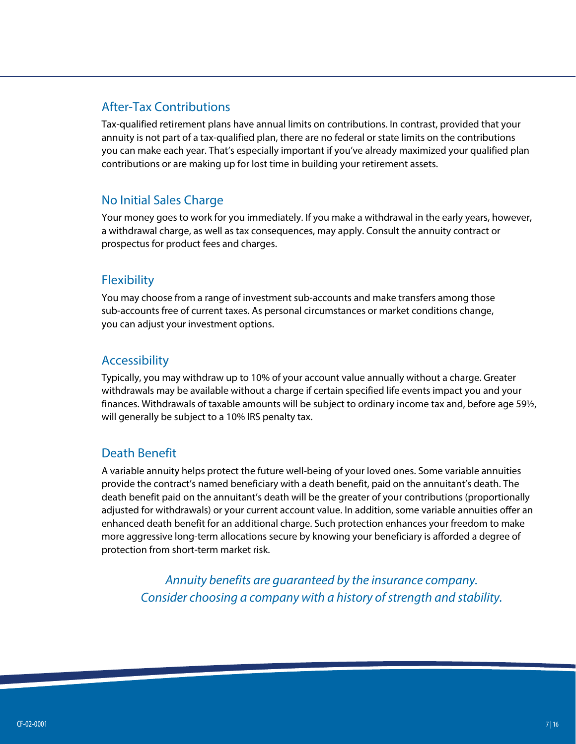#### After-Tax Contributions

Tax-qualified retirement plans have annual limits on contributions. In contrast, provided that your annuity is not part of a tax-qualified plan, there are no federal or state limits on the contributions you can make each year. That's especially important if you've already maximized your qualified plan contributions or are making up for lost time in building your retirement assets.

#### No Initial Sales Charge

Your money goes to work for you immediately. If you make a withdrawal in the early years, however, a withdrawal charge, as well as tax consequences, may apply. Consult the annuity contract or prospectus for product fees and charges.

#### **Flexibility**

You may choose from a range of investment sub-accounts and make transfers among those sub-accounts free of current taxes. As personal circumstances or market conditions change, you can adjust your investment options.

#### Accessibility

Typically, you may withdraw up to 10% of your account value annually without a charge. Greater withdrawals may be available without a charge if certain specified life events impact you and your finances. Withdrawals of taxable amounts will be subject to ordinary income tax and, before age 59½, will generally be subject to a 10% IRS penalty tax.

#### Death Benefit

A variable annuity helps protect the future well-being of your loved ones. Some variable annuities provide the contract's named beneficiary with a death benefit, paid on the annuitant's death. The death benefit paid on the annuitant's death will be the greater of your contributions (proportionally adjusted for withdrawals) or your current account value. In addition, some variable annuities offer an enhanced death benefit for an additional charge. Such protection enhances your freedom to make more aggressive long-term allocations secure by knowing your beneficiary is afforded a degree of protection from short-term market risk.

*Annuity benefits are guaranteed by the insurance company. Consider choosing a company with a history of strength and stability.*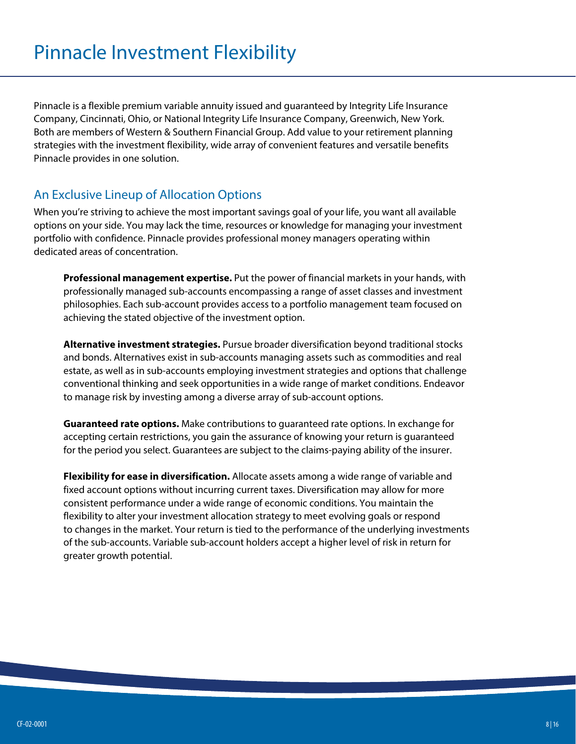Pinnacle is a flexible premium variable annuity issued and guaranteed by Integrity Life Insurance Company, Cincinnati, Ohio, or National Integrity Life Insurance Company, Greenwich, New York. Both are members of Western & Southern Financial Group. Add value to your retirement planning strategies with the investment flexibility, wide array of convenient features and versatile benefits Pinnacle provides in one solution.

#### An Exclusive Lineup of Allocation Options

When you're striving to achieve the most important savings goal of your life, you want all available options on your side. You may lack the time, resources or knowledge for managing your investment portfolio with confidence. Pinnacle provides professional money managers operating within dedicated areas of concentration.

**Professional management expertise.** Put the power of financial markets in your hands, with professionally managed sub-accounts encompassing a range of asset classes and investment philosophies. Each sub-account provides access to a portfolio management team focused on achieving the stated objective of the investment option.

**Alternative investment strategies.** Pursue broader diversification beyond traditional stocks and bonds. Alternatives exist in sub-accounts managing assets such as commodities and real estate, as well as in sub-accounts employing investment strategies and options that challenge conventional thinking and seek opportunities in a wide range of market conditions. Endeavor to manage risk by investing among a diverse array of sub-account options.

**Guaranteed rate options.** Make contributions to guaranteed rate options. In exchange for accepting certain restrictions, you gain the assurance of knowing your return is guaranteed for the period you select. Guarantees are subject to the claims-paying ability of the insurer.

**Flexibility for ease in diversification.** Allocate assets among a wide range of variable and fixed account options without incurring current taxes. Diversification may allow for more consistent performance under a wide range of economic conditions. You maintain the flexibility to alter your investment allocation strategy to meet evolving goals or respond to changes in the market. Your return is tied to the performance of the underlying investments of the sub-accounts. Variable sub-account holders accept a higher level of risk in return for greater growth potential.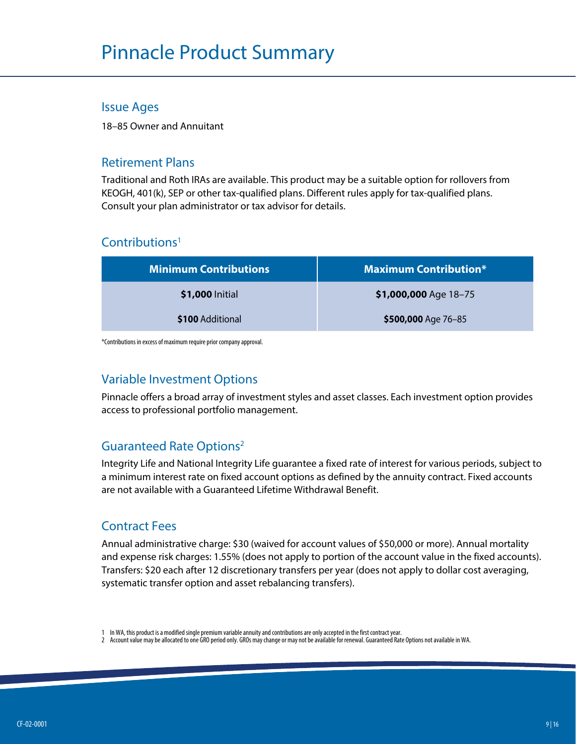## Pinnacle Product Summary

#### Issue Ages

18–85 Owner and Annuitant

#### Retirement Plans

Traditional and Roth IRAs are available. This product may be a suitable option for rollovers from KEOGH, 401(k), SEP or other tax-qualified plans. Different rules apply for tax-qualified plans. Consult your plan administrator or tax advisor for details.

#### Contributions<sup>1</sup>

| <b>Minimum Contributions</b> | <b>Maximum Contribution*</b> |
|------------------------------|------------------------------|
| \$1,000 Initial              | \$1,000,000 Age 18-75        |
| \$100 Additional             | \$500,000 Age 76-85          |

\*Contributions in excess of maximum require prior company approval.

#### Variable Investment Options

Pinnacle offers a broad array of investment styles and asset classes. Each investment option provides access to professional portfolio management.

#### Guaranteed Rate Options2

Integrity Life and National Integrity Life guarantee a fixed rate of interest for various periods, subject to a minimum interest rate on fixed account options as defined by the annuity contract. Fixed accounts are not available with a Guaranteed Lifetime Withdrawal Benefit.

#### Contract Fees

Annual administrative charge: \$30 (waived for account values of \$50,000 or more). Annual mortality and expense risk charges: 1.55% (does not apply to portion of the account value in the fixed accounts). Transfers: \$20 each after 12 discretionary transfers per year (does not apply to dollar cost averaging, systematic transfer option and asset rebalancing transfers).

<sup>1</sup> In WA, this product is a modified single premium variable annuity and contributions are only accepted in the first contract year.

<sup>2</sup> Account value may be allocated to one GRO period only. GROs may change or may not be available for renewal. Guaranteed Rate Options not available in WA.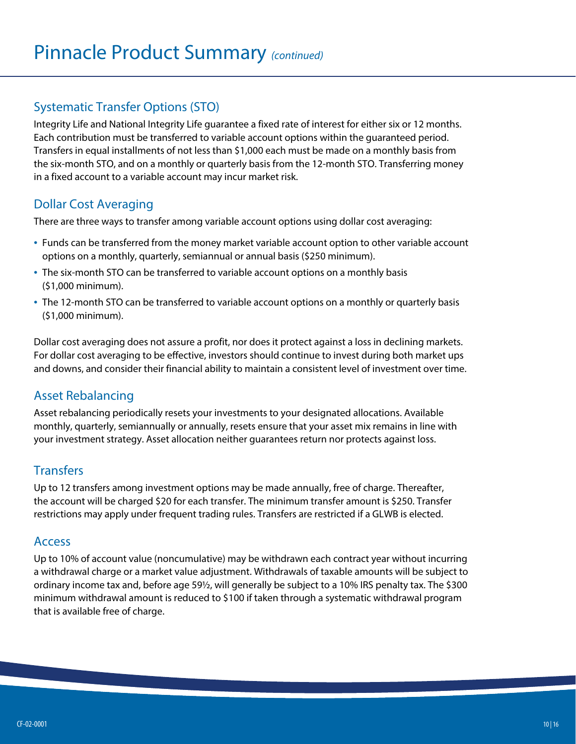#### Systematic Transfer Options (STO)

Integrity Life and National Integrity Life guarantee a fixed rate of interest for either six or 12 months. Each contribution must be transferred to variable account options within the guaranteed period. Transfers in equal installments of not less than \$1,000 each must be made on a monthly basis from the six-month STO, and on a monthly or quarterly basis from the 12-month STO. Transferring money in a fixed account to a variable account may incur market risk.

#### Dollar Cost Averaging

There are three ways to transfer among variable account options using dollar cost averaging:

- Funds can be transferred from the money market variable account option to other variable account options on a monthly, quarterly, semiannual or annual basis (\$250 minimum).
- The six-month STO can be transferred to variable account options on a monthly basis (\$1,000 minimum).
- The 12-month STO can be transferred to variable account options on a monthly or quarterly basis (\$1,000 minimum).

Dollar cost averaging does not assure a profit, nor does it protect against a loss in declining markets. For dollar cost averaging to be effective, investors should continue to invest during both market ups and downs, and consider their financial ability to maintain a consistent level of investment over time.

#### Asset Rebalancing

Asset rebalancing periodically resets your investments to your designated allocations. Available monthly, quarterly, semiannually or annually, resets ensure that your asset mix remains in line with your investment strategy. Asset allocation neither guarantees return nor protects against loss.

#### **Transfers**

Up to 12 transfers among investment options may be made annually, free of charge. Thereafter, the account will be charged \$20 for each transfer. The minimum transfer amount is \$250. Transfer restrictions may apply under frequent trading rules. Transfers are restricted if a GLWB is elected.

#### Access

Up to 10% of account value (noncumulative) may be withdrawn each contract year without incurring a withdrawal charge or a market value adjustment. Withdrawals of taxable amounts will be subject to ordinary income tax and, before age 59½, will generally be subject to a 10% IRS penalty tax. The \$300 minimum withdrawal amount is reduced to \$100 if taken through a systematic withdrawal program that is available free of charge.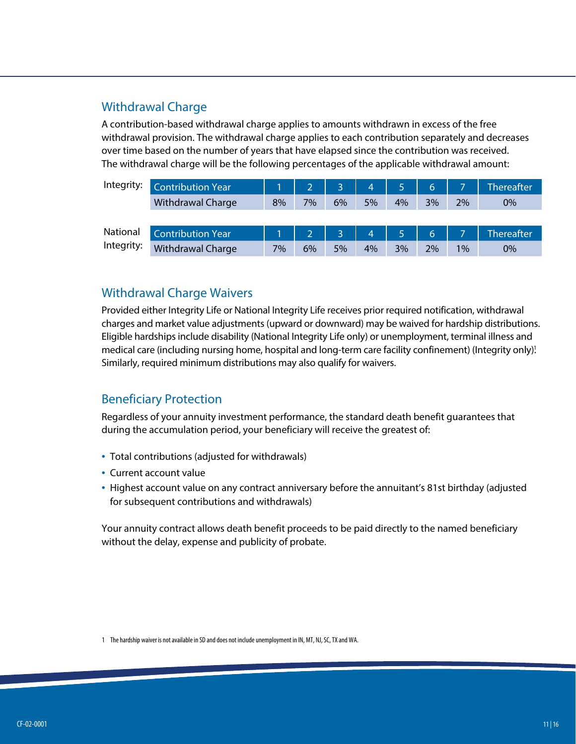#### Withdrawal Charge

A contribution-based withdrawal charge applies to amounts withdrawn in excess of the free withdrawal provision. The withdrawal charge applies to each contribution separately and decreases over time based on the number of years that have elapsed since the contribution was received. The withdrawal charge will be the following percentages of the applicable withdrawal amount:

| Integrity: | Contribution Year        |    | 2 <sup>1</sup> | Q.             | 4 <sup>1</sup> | 5. | 6              |       | <b>Thereafter</b> |
|------------|--------------------------|----|----------------|----------------|----------------|----|----------------|-------|-------------------|
|            | <b>Withdrawal Charge</b> | 8% | 7%             | 6%             | 5%             | 4% | 3%             | 2%    | 0%                |
|            |                          |    |                |                |                |    |                |       |                   |
| National   | <b>Contribution Year</b> |    | 2 <sup>1</sup> | $\overline{a}$ | $\overline{4}$ | 5. | 6 <sub>1</sub> |       | <b>Thereafter</b> |
| Integrity: | <b>Withdrawal Charge</b> | 7% | 6%             | 5%             | 4%             | 3% | 2%             | $1\%$ | 0%                |

#### Withdrawal Charge Waivers

Provided either Integrity Life or National Integrity Life receives prior required notification, withdrawal charges and market value adjustments (upward or downward) may be waived for hardship distributions. Eligible hardships include disability (National Integrity Life only) or unemployment, terminal illness and medical care (including nursing home, hospital and long-term care facility confinement) (Integrity only)! Similarly, required minimum distributions may also qualify for waivers.

#### Beneficiary Protection

Regardless of your annuity investment performance, the standard death benefit guarantees that during the accumulation period, your beneficiary will receive the greatest of:

- Total contributions (adjusted for withdrawals)
- Current account value
- Highest account value on any contract anniversary before the annuitant's 81st birthday (adjusted for subsequent contributions and withdrawals)

Your annuity contract allows death benefit proceeds to be paid directly to the named beneficiary without the delay, expense and publicity of probate.

1 The hardship waiver is not available in SD and does not include unemployment in IN, MT, NJ, SC, TX and WA.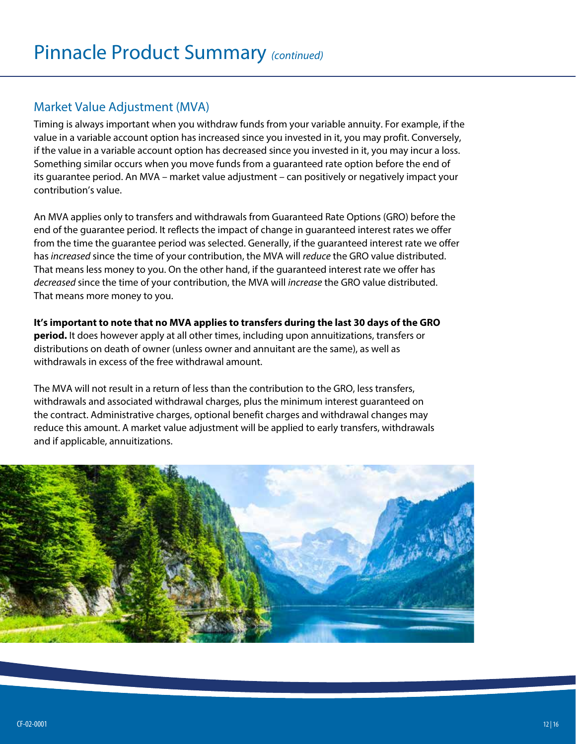#### Market Value Adjustment (MVA)

Timing is always important when you withdraw funds from your variable annuity. For example, if the value in a variable account option has increased since you invested in it, you may profit. Conversely, if the value in a variable account option has decreased since you invested in it, you may incur a loss. Something similar occurs when you move funds from a guaranteed rate option before the end of its guarantee period. An MVA – market value adjustment – can positively or negatively impact your contribution's value.

An MVA applies only to transfers and withdrawals from Guaranteed Rate Options (GRO) before the end of the guarantee period. It reflects the impact of change in guaranteed interest rates we offer from the time the guarantee period was selected. Generally, if the guaranteed interest rate we offer has *increased* since the time of your contribution, the MVA will *reduce* the GRO value distributed. That means less money to you. On the other hand, if the guaranteed interest rate we offer has *decreased* since the time of your contribution, the MVA will *increase* the GRO value distributed. That means more money to you.

**It's important to note that no MVA applies to transfers during the last 30 days of the GRO period.** It does however apply at all other times, including upon annuitizations, transfers or distributions on death of owner (unless owner and annuitant are the same), as well as withdrawals in excess of the free withdrawal amount.

The MVA will not result in a return of less than the contribution to the GRO, less transfers, withdrawals and associated withdrawal charges, plus the minimum interest guaranteed on the contract. Administrative charges, optional benefit charges and withdrawal changes may reduce this amount. A market value adjustment will be applied to early transfers, withdrawals and if applicable, annuitizations.

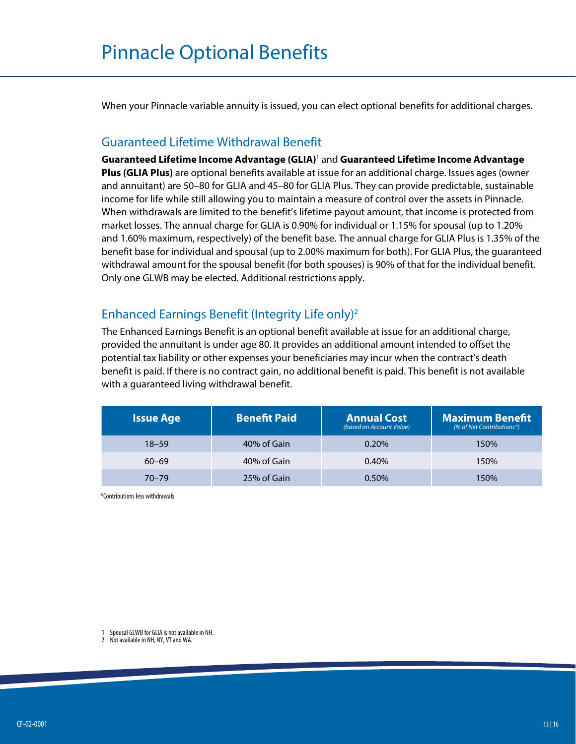When your Pinnacle variable annuity is issued, you can elect optional benefits for additional charges.

#### Guaranteed Lifetime Withdrawal Benefit

**Guaranteed Lifetime Income Advantage (GLIA)**<sup>1</sup> and **Guaranteed Lifetime Income Advantage Plus (GLIA Plus)** are optional benefits available at issue for an additional charge. Issues ages (owner and annuitant) are 50–80 for GLIA and 45–80 for GLIA Plus. They can provide predictable, sustainable income for life while still allowing you to maintain a measure of control over the assets in Pinnacle. When withdrawals are limited to the benefit's lifetime payout amount, that income is protected from market losses. The annual charge for GLIA is 0.90% for individual or 1.15% for spousal (up to 1.20% and 1.60% maximum, respectively) of the benefit base. The annual charge for GLIA Plus is 1.35% of the benefit base for individual and spousal (up to 2.00% maximum for both). For GLIA Plus, the guaranteed withdrawal amount for the spousal benefit (for both spouses) is 90% of that for the individual benefit. Only one GLWB may be elected. Additional restrictions apply.

#### Enhanced Earnings Benefit (Integrity Life only)2

The Enhanced Earnings Benefit is an optional benefit available at issue for an additional charge, provided the annuitant is under age 80. It provides an additional amount intended to offset the potential tax liability or other expenses your beneficiaries may incur when the contract's death benefit is paid. If there is no contract gain, no additional benefit is paid. This benefit is not available with a guaranteed living withdrawal benefit.

| <b>Issue Age</b> | <b>Benefit Paid</b> | <b>Annual Cost</b><br>(based on Account Value) | <b>Maximum Benefit</b><br>(% of Net Contributions*) |
|------------------|---------------------|------------------------------------------------|-----------------------------------------------------|
| $18 - 59$        | 40% of Gain         | 0.20%                                          | 150%                                                |
| $60 - 69$        | 40% of Gain         | 0.40%                                          | 150%                                                |
| $70 - 79$        | 25% of Gain         | 0.50%                                          | 150%                                                |

\*Contributions less withdrawals

1 Spousal GLWB for GLIA is not available in NH.

2 Not available in NH, NY, VT and WA.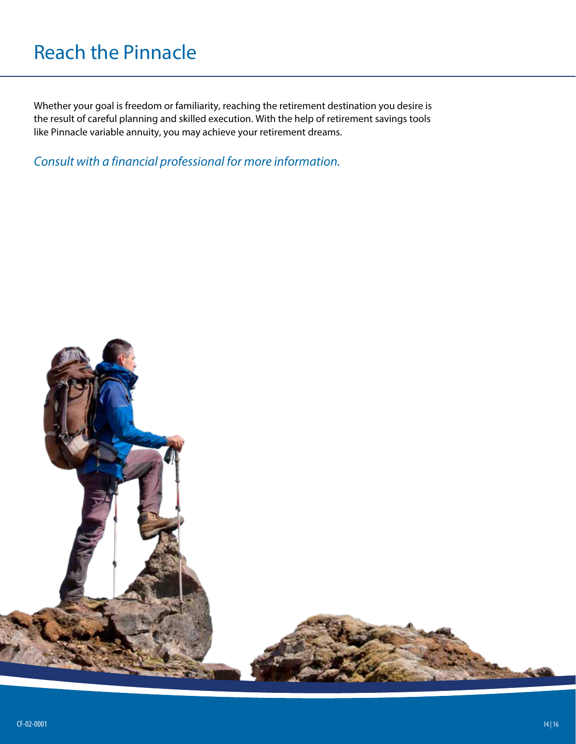## Reach the Pinnacle

Whether your goal is freedom or familiarity, reaching the retirement destination you desire is the result of careful planning and skilled execution. With the help of retirement savings tools like Pinnacle variable annuity, you may achieve your retirement dreams.

#### *Consult with a financial professional for more information.*

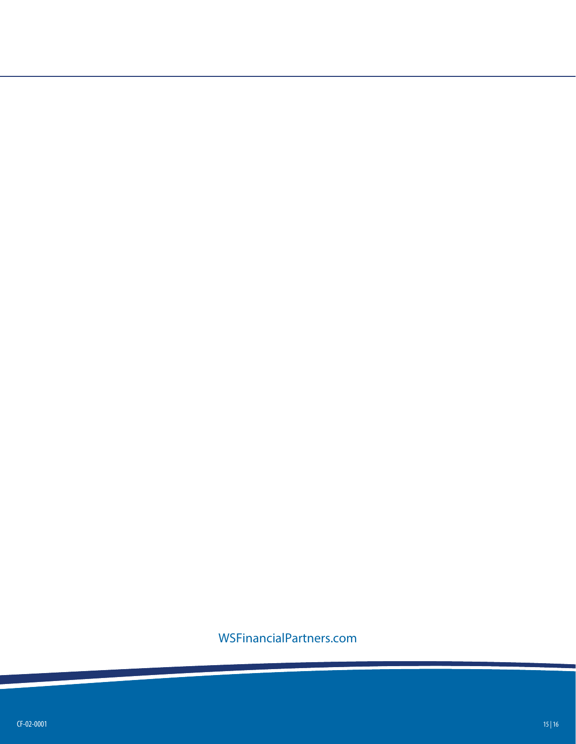#### WSFinancialPartners.com